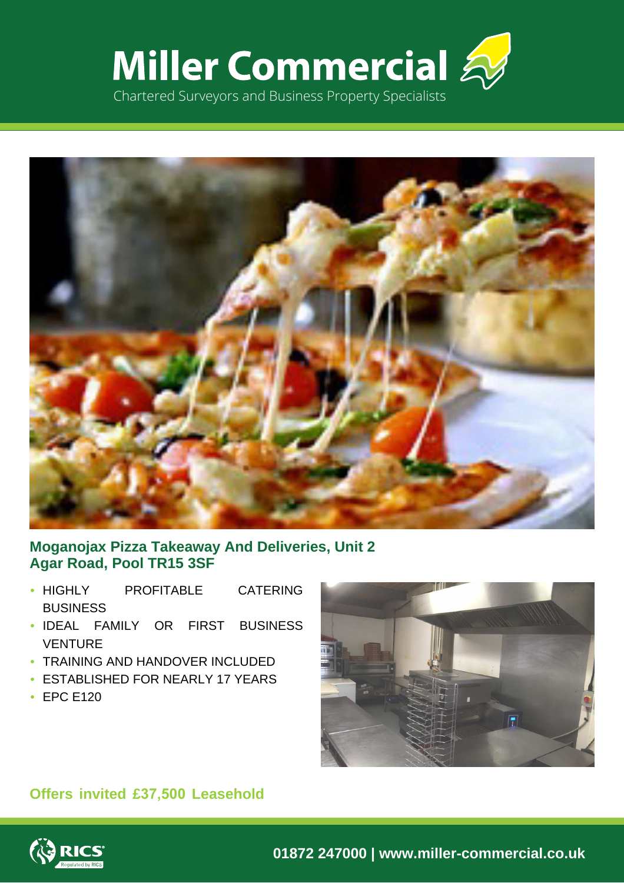



# **Moganojax Pizza Takeaway And Deliveries, Unit 2 Agar Road, Pool TR15 3SF**

- HIGHLY PROFITABLE CATERING **BUSINESS**
- IDEAL FAMILY OR FIRST BUSINESS VENTURE
- TRAINING AND HANDOVER INCLUDED
- ESTABLISHED FOR NEARLY 17 YEARS
- EPC E120



# **Offers invited £37,500 Leasehold**

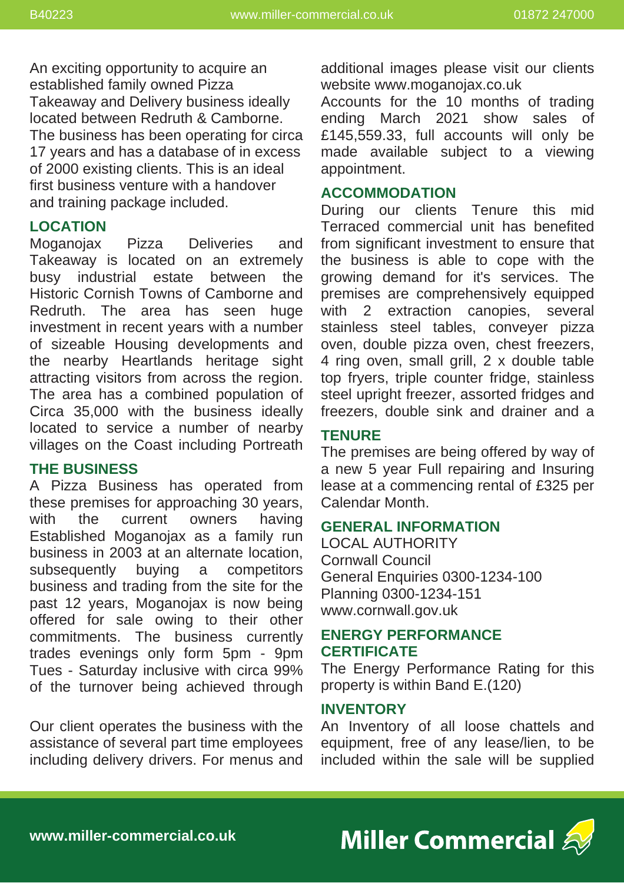An exciting opportunity to acquire an established family owned Pizza Takeaway and Delivery business ideally located between Redruth & Camborne. The business has been operating for circa 17 years and has a database of in excess of 2000 existing clients. This is an ideal first business venture with a handover and training package included.

## **LOCATION**

Moganojax Pizza Deliveries and Takeaway is located on an extremely busy industrial estate between the Historic Cornish Towns of Camborne and Redruth. The area has seen huge investment in recent years with a number of sizeable Housing developments and the nearby Heartlands heritage sight attracting visitors from across the region. The area has a combined population of Circa 35,000 with the business ideally located to service a number of nearby villages on the Coast including Portreath

## **THE BUSINESS**

A Pizza Business has operated from these premises for approaching 30 years, with the current owners having Established Moganojax as a family run business in 2003 at an alternate location, subsequently buying a competitors business and trading from the site for the past 12 years, Moganojax is now being offered for sale owing to their other commitments. The business currently trades evenings only form 5pm - 9pm Tues - Saturday inclusive with circa 99% of the turnover being achieved through

Our client operates the business with the assistance of several part time employees including delivery drivers. For menus and additional images please visit our clients website www.moganojax.co.uk

Accounts for the 10 months of trading ending March 2021 show sales of £145,559.33, full accounts will only be made available subject to a viewing appointment.

### **ACCOMMODATION**

During our clients Tenure this mid Terraced commercial unit has benefited from significant investment to ensure that the business is able to cope with the growing demand for it's services. The premises are comprehensively equipped with 2 extraction canopies, several stainless steel tables, conveyer pizza oven, double pizza oven, chest freezers, 4 ring oven, small grill, 2 x double table top fryers, triple counter fridge, stainless steel upright freezer, assorted fridges and freezers, double sink and drainer and a

## **TENURE**

The premises are being offered by way of a new 5 year Full repairing and Insuring lease at a commencing rental of £325 per Calendar Month.

#### **GENERAL INFORMATION**

LOCAL AUTHORITY Cornwall Council General Enquiries 0300-1234-100 Planning 0300-1234-151 www.cornwall.gov.uk

## **ENERGY PERFORMANCE CERTIFICATE**

The Energy Performance Rating for this property is within Band E.(120)

#### **INVENTORY**

An Inventory of all loose chattels and equipment, free of any lease/lien, to be included within the sale will be supplied

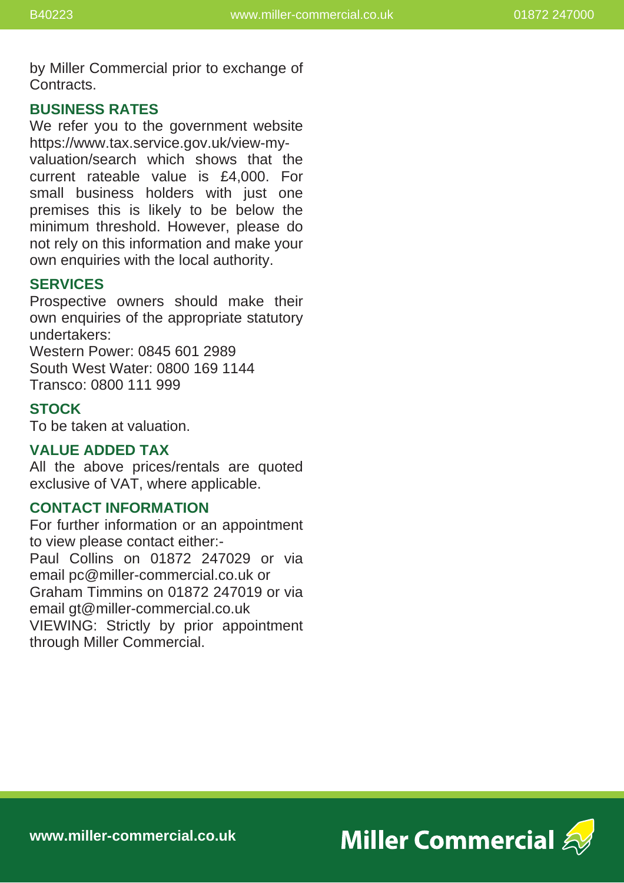by Miller Commercial prior to exchange of Contracts.

### **BUSINESS RATES**

We refer you to the government website https://www.tax.service.gov.uk/view-myvaluation/search which shows that the current rateable value is £4,000. For small business holders with just one premises this is likely to be below the minimum threshold. However, please do not rely on this information and make your own enquiries with the local authority.

## **SERVICES**

Prospective owners should make their own enquiries of the appropriate statutory undertakers:

Western Power: 0845 601 2989 South West Water: 0800 169 1144 Transco: 0800 111 999

# **STOCK**

To be taken at valuation.

### **VALUE ADDED TAX**

All the above prices/rentals are quoted exclusive of VAT, where applicable.

#### **CONTACT INFORMATION**

For further information or an appointment to view please contact either:- Paul Collins on 01872 247029 or via email pc@miller-commercial.co.uk or Graham Timmins on 01872 247019 or via email gt@miller-commercial.co.uk VIEWING: Strictly by prior appointment through Miller Commercial.